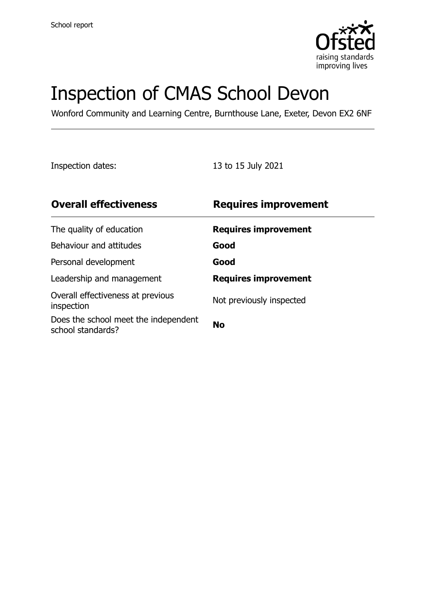

# Inspection of CMAS School Devon

Wonford Community and Learning Centre, Burnthouse Lane, Exeter, Devon EX2 6NF

Inspection dates: 13 to 15 July 2021

| <b>Overall effectiveness</b>                              | <b>Requires improvement</b> |
|-----------------------------------------------------------|-----------------------------|
| The quality of education                                  | <b>Requires improvement</b> |
| Behaviour and attitudes                                   | Good                        |
| Personal development                                      | Good                        |
| Leadership and management                                 | <b>Requires improvement</b> |
| Overall effectiveness at previous<br>inspection           | Not previously inspected    |
| Does the school meet the independent<br>school standards? | <b>No</b>                   |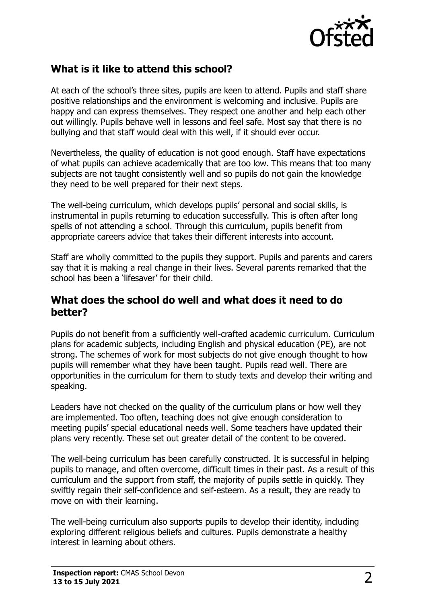

## **What is it like to attend this school?**

At each of the school's three sites, pupils are keen to attend. Pupils and staff share positive relationships and the environment is welcoming and inclusive. Pupils are happy and can express themselves. They respect one another and help each other out willingly. Pupils behave well in lessons and feel safe. Most say that there is no bullying and that staff would deal with this well, if it should ever occur.

Nevertheless, the quality of education is not good enough. Staff have expectations of what pupils can achieve academically that are too low. This means that too many subjects are not taught consistently well and so pupils do not gain the knowledge they need to be well prepared for their next steps.

The well-being curriculum, which develops pupils' personal and social skills, is instrumental in pupils returning to education successfully. This is often after long spells of not attending a school. Through this curriculum, pupils benefit from appropriate careers advice that takes their different interests into account.

Staff are wholly committed to the pupils they support. Pupils and parents and carers say that it is making a real change in their lives. Several parents remarked that the school has been a 'lifesaver' for their child.

#### **What does the school do well and what does it need to do better?**

Pupils do not benefit from a sufficiently well-crafted academic curriculum. Curriculum plans for academic subjects, including English and physical education (PE), are not strong. The schemes of work for most subjects do not give enough thought to how pupils will remember what they have been taught. Pupils read well. There are opportunities in the curriculum for them to study texts and develop their writing and speaking.

Leaders have not checked on the quality of the curriculum plans or how well they are implemented. Too often, teaching does not give enough consideration to meeting pupils' special educational needs well. Some teachers have updated their plans very recently. These set out greater detail of the content to be covered.

The well-being curriculum has been carefully constructed. It is successful in helping pupils to manage, and often overcome, difficult times in their past. As a result of this curriculum and the support from staff, the majority of pupils settle in quickly. They swiftly regain their self-confidence and self-esteem. As a result, they are ready to move on with their learning.

The well-being curriculum also supports pupils to develop their identity, including exploring different religious beliefs and cultures. Pupils demonstrate a healthy interest in learning about others.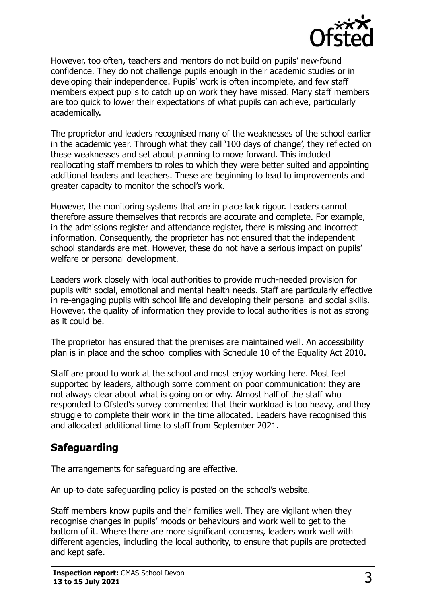

However, too often, teachers and mentors do not build on pupils' new-found confidence. They do not challenge pupils enough in their academic studies or in developing their independence. Pupils' work is often incomplete, and few staff members expect pupils to catch up on work they have missed. Many staff members are too quick to lower their expectations of what pupils can achieve, particularly academically.

The proprietor and leaders recognised many of the weaknesses of the school earlier in the academic year. Through what they call '100 days of change', they reflected on these weaknesses and set about planning to move forward. This included reallocating staff members to roles to which they were better suited and appointing additional leaders and teachers. These are beginning to lead to improvements and greater capacity to monitor the school's work.

However, the monitoring systems that are in place lack rigour. Leaders cannot therefore assure themselves that records are accurate and complete. For example, in the admissions register and attendance register, there is missing and incorrect information. Consequently, the proprietor has not ensured that the independent school standards are met. However, these do not have a serious impact on pupils' welfare or personal development.

Leaders work closely with local authorities to provide much-needed provision for pupils with social, emotional and mental health needs. Staff are particularly effective in re-engaging pupils with school life and developing their personal and social skills. However, the quality of information they provide to local authorities is not as strong as it could be.

The proprietor has ensured that the premises are maintained well. An accessibility plan is in place and the school complies with Schedule 10 of the Equality Act 2010.

Staff are proud to work at the school and most enjoy working here. Most feel supported by leaders, although some comment on poor communication: they are not always clear about what is going on or why. Almost half of the staff who responded to Ofsted's survey commented that their workload is too heavy, and they struggle to complete their work in the time allocated. Leaders have recognised this and allocated additional time to staff from September 2021.

## **Safeguarding**

The arrangements for safeguarding are effective.

An up-to-date safeguarding policy is posted on the school's website.

Staff members know pupils and their families well. They are vigilant when they recognise changes in pupils' moods or behaviours and work well to get to the bottom of it. Where there are more significant concerns, leaders work well with different agencies, including the local authority, to ensure that pupils are protected and kept safe.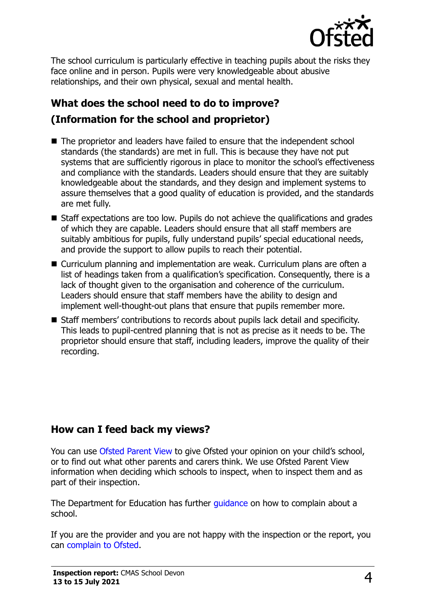

The school curriculum is particularly effective in teaching pupils about the risks they face online and in person. Pupils were very knowledgeable about abusive relationships, and their own physical, sexual and mental health.

# **What does the school need to do to improve? (Information for the school and proprietor)**

- The proprietor and leaders have failed to ensure that the independent school standards (the standards) are met in full. This is because they have not put systems that are sufficiently rigorous in place to monitor the school's effectiveness and compliance with the standards. Leaders should ensure that they are suitably knowledgeable about the standards, and they design and implement systems to assure themselves that a good quality of education is provided, and the standards are met fully.
- Staff expectations are too low. Pupils do not achieve the qualifications and grades of which they are capable. Leaders should ensure that all staff members are suitably ambitious for pupils, fully understand pupils' special educational needs, and provide the support to allow pupils to reach their potential.
- Curriculum planning and implementation are weak. Curriculum plans are often a list of headings taken from a qualification's specification. Consequently, there is a lack of thought given to the organisation and coherence of the curriculum. Leaders should ensure that staff members have the ability to design and implement well-thought-out plans that ensure that pupils remember more.
- Staff members' contributions to records about pupils lack detail and specificity. This leads to pupil-centred planning that is not as precise as it needs to be. The proprietor should ensure that staff, including leaders, improve the quality of their recording.

## **How can I feed back my views?**

You can use [Ofsted Parent View](http://parentview.ofsted.gov.uk/) to give Ofsted your opinion on your child's school, or to find out what other parents and carers think. We use Ofsted Parent View information when deciding which schools to inspect, when to inspect them and as part of their inspection.

The Department for Education has further quidance on how to complain about a school.

If you are the provider and you are not happy with the inspection or the report, you can [complain to Ofsted.](http://www.gov.uk/complain-ofsted-report)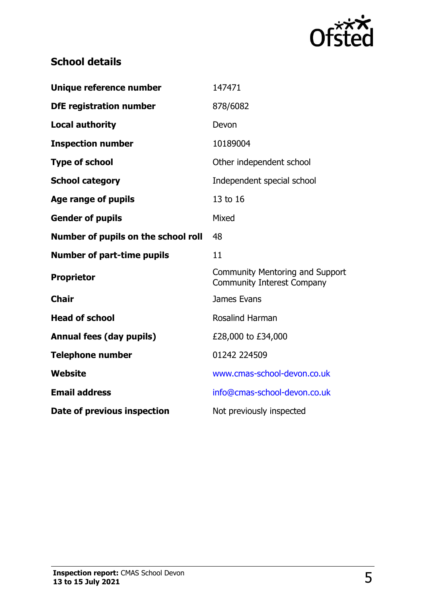

## **School details**

| Unique reference number             | 147471                                                               |  |
|-------------------------------------|----------------------------------------------------------------------|--|
| <b>DfE</b> registration number      | 878/6082                                                             |  |
| <b>Local authority</b>              | Devon                                                                |  |
| <b>Inspection number</b>            | 10189004                                                             |  |
| <b>Type of school</b>               | Other independent school                                             |  |
| <b>School category</b>              | Independent special school                                           |  |
| Age range of pupils                 | 13 to 16                                                             |  |
| <b>Gender of pupils</b>             | Mixed                                                                |  |
| Number of pupils on the school roll | 48                                                                   |  |
| <b>Number of part-time pupils</b>   | 11                                                                   |  |
| <b>Proprietor</b>                   | Community Mentoring and Support<br><b>Community Interest Company</b> |  |
| <b>Chair</b>                        | James Evans                                                          |  |
| <b>Head of school</b>               | <b>Rosalind Harman</b>                                               |  |
| <b>Annual fees (day pupils)</b>     | £28,000 to £34,000                                                   |  |
| <b>Telephone number</b>             | 01242 224509                                                         |  |
| <b>Website</b>                      | www.cmas-school-devon.co.uk                                          |  |
| <b>Email address</b>                | info@cmas-school-devon.co.uk                                         |  |
| Date of previous inspection         | Not previously inspected                                             |  |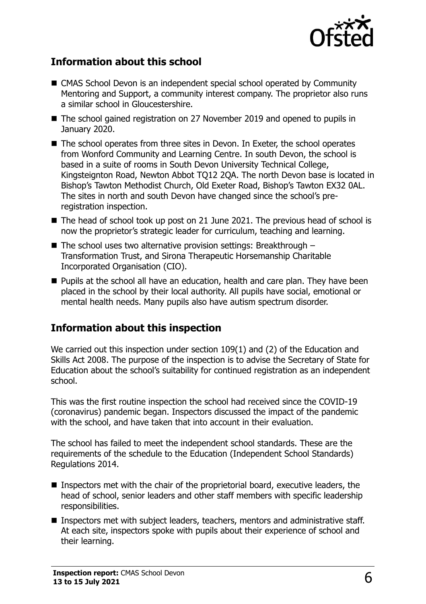

## **Information about this school**

- CMAS School Devon is an independent special school operated by Community Mentoring and Support, a community interest company. The proprietor also runs a similar school in Gloucestershire.
- The school gained registration on 27 November 2019 and opened to pupils in January 2020.
- The school operates from three sites in Devon. In Exeter, the school operates from Wonford Community and Learning Centre. In south Devon, the school is based in a suite of rooms in South Devon University Technical College, Kingsteignton Road, Newton Abbot TQ12 2QA. The north Devon base is located in Bishop's Tawton Methodist Church, Old Exeter Road, Bishop's Tawton EX32 0AL. The sites in north and south Devon have changed since the school's preregistration inspection.
- The head of school took up post on 21 June 2021. The previous head of school is now the proprietor's strategic leader for curriculum, teaching and learning.
- $\blacksquare$  The school uses two alternative provision settings: Breakthrough  $-$ Transformation Trust, and Sirona Therapeutic Horsemanship Charitable Incorporated Organisation (CIO).
- Pupils at the school all have an education, health and care plan. They have been placed in the school by their local authority. All pupils have social, emotional or mental health needs. Many pupils also have autism spectrum disorder.

## **Information about this inspection**

We carried out this inspection under section 109(1) and (2) of the Education and Skills Act 2008. The purpose of the inspection is to advise the Secretary of State for Education about the school's suitability for continued registration as an independent school.

This was the first routine inspection the school had received since the COVID-19 (coronavirus) pandemic began. Inspectors discussed the impact of the pandemic with the school, and have taken that into account in their evaluation.

The school has failed to meet the independent school standards. These are the requirements of the schedule to the Education (Independent School Standards) Regulations 2014.

- Inspectors met with the chair of the proprietorial board, executive leaders, the head of school, senior leaders and other staff members with specific leadership responsibilities.
- Inspectors met with subject leaders, teachers, mentors and administrative staff. At each site, inspectors spoke with pupils about their experience of school and their learning.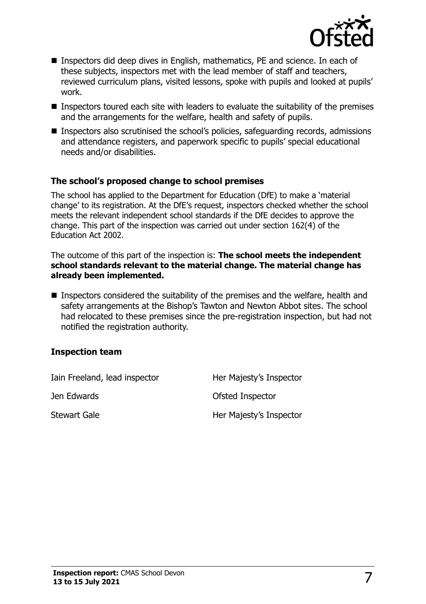

- Inspectors did deep dives in English, mathematics, PE and science. In each of these subjects, inspectors met with the lead member of staff and teachers, reviewed curriculum plans, visited lessons, spoke with pupils and looked at pupils' work.
- Inspectors toured each site with leaders to evaluate the suitability of the premises and the arrangements for the welfare, health and safety of pupils.
- Inspectors also scrutinised the school's policies, safeguarding records, admissions and attendance registers, and paperwork specific to pupils' special educational needs and/or disabilities.

#### **The school's proposed change to school premises**

The school has applied to the Department for Education (DfE) to make a 'material change' to its registration. At the DfE's request, inspectors checked whether the school meets the relevant independent school standards if the DfE decides to approve the change. This part of the inspection was carried out under section 162(4) of the Education Act 2002.

The outcome of this part of the inspection is: **The school meets the independent school standards relevant to the material change. The material change has already been implemented.** 

■ Inspectors considered the suitability of the premises and the welfare, health and safety arrangements at the Bishop's Tawton and Newton Abbot sites. The school had relocated to these premises since the pre-registration inspection, but had not notified the registration authority.

#### **Inspection team**

| Iain Freeland, lead inspector | Her Majesty's Inspector |
|-------------------------------|-------------------------|
| Jen Edwards                   | Ofsted Inspector        |
| <b>Stewart Gale</b>           | Her Majesty's Inspector |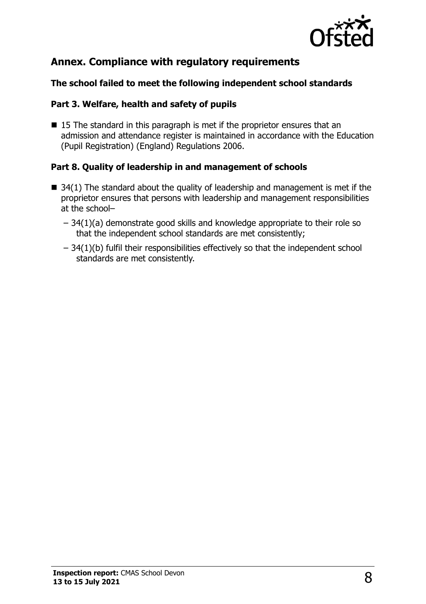

## **Annex. Compliance with regulatory requirements**

#### **The school failed to meet the following independent school standards**

#### **Part 3. Welfare, health and safety of pupils**

■ 15 The standard in this paragraph is met if the proprietor ensures that an admission and attendance register is maintained in accordance with the Education (Pupil Registration) (England) Regulations 2006.

#### **Part 8. Quality of leadership in and management of schools**

- $\blacksquare$  34(1) The standard about the quality of leadership and management is met if the proprietor ensures that persons with leadership and management responsibilities at the school–
	- 34(1)(a) demonstrate good skills and knowledge appropriate to their role so that the independent school standards are met consistently;
	- 34(1)(b) fulfil their responsibilities effectively so that the independent school standards are met consistently.